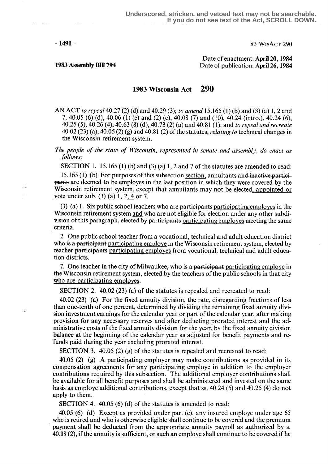$\sim 10^{11}$ 

F

- 1491 - 83 WisAct 290

Date of enactment: April 20, 1984 1983 Assembly Bill 794 Date of publication: April 26, 1984

1983 Wisconsin Act 290

AN ACT to repeal 40.27 (2) (d) and 40.29 (3); to amend 15.165 (1) (b) and (3) (a) 1, 2 and 7, 40.05 (6) (d), 40.06 (1) (e) and (2) (c), 40.08 (7) and (10), 40.24 (intro .), 40.24 (6), 40.25 (5), 40.26 (4), 40 .63 (8) (d), 40.73 (2) (a) and 40.81 (1); and to repeal and recreate  $40.02(23)(a)$ ,  $40.05(2)(g)$  and  $40.81(2)$  of the statutes, *relating to* technical changes in the Wisconsin retirement system.

The people of the state of Wisconsin, represented in senate and assembly, do enact as follows.

SECTION 1. 15.165 (1) (b) and (3) (a) 1, 2 and 7 of the statutes are amended to read:

15.165 (1) (b) For purposes of this subsection section, annuitants and inactive participants are deemed to be employes in the last position in which they were covered by the Wisconsin retirement system, except that annuitants may not be elected, appointed or vote under sub.  $(3)$  (a) 1, 2, 4 or 7.

 $(3)$  (a) 1. Six public school teachers who are participants participating employes in the Wisconsin retirement system and who are not eligible for election under any other subdivision of this paragraph, elected by participants participating employes meeting the same criteria.

2. One public school teacher from a vocational, technical and adult education district who is a participant participating employe in the Wisconsin retirement system, elected by teacher partieipants participating employes from vocational, technical and adult education districts .

7. One teacher in the city of Milwaukee, who is a participant participating employe in the Wisconsin retirement system, elected by the teachers of the public schools in that city who are participating employes.

SECTION 2. 40.02 (23) (a) of the statutes is repealed and recreated to read:

40.02 (23) (a) For the fixed annuity division, the rate, disregarding fractions of less than one-tenth of one percent, determined by dividing the remaining fixed annuity division investment earnings for the calendar year or part of the calendar year, after making provision for any necessary reserves and after deducting prorated interest and the administrative costs of the fixed annuity division for the year, by the fixed annuity division balance at the beginning of the calendar year as adjusted for benefit payments and refunds paid during the year excluding prorated interest.

SECTION 3. 40.05 (2) (g) of the statutes is repealed and recreated to read:

40.05 (2) (g) A participating employer may make contributions as provided in its compensation agreements for any participating employe in addition to the employer contributions required by this subsection . The additional employer contributions shall be available for all benefit purposes and shall be administered and invested on the same basis as employe additional contributions, except that ss . 40.24 (5) and 40.25 (4) do not apply to them.

SECTION 4. 40.05 (6) (d) of the statutes is amended to read:

40.05 (6) (d) Except as provided under par. (c), any insured employe under age 65 who is retired and who is otherwise eligible shall continue to be covered and the premium payment shall be deducted from the appropriate annuity payroll as authorized by s. 40.08 (2), if the annuity is sufficient, or such an employe shall continue to be covered if he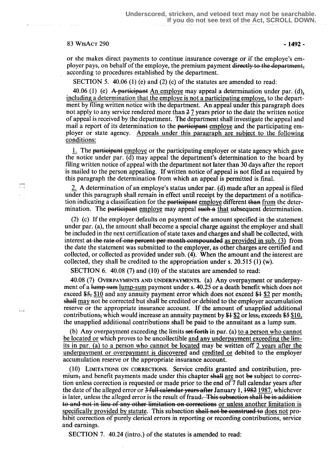## $83$  WisAct 290 - 1492 -

Ħ

or she makes direct payments to continue insurance coverage or if the employe's employer pays, on behalf of the employe, the premium payment directly to the department. according to procedures established by the department.

SECTION 5. 40.06 (1) (e) and (2) (c) of the statutes are amended to read:

40.06 (1) (e) A participant An employe may appeal a determination under par. (d), including a determination that the employe is not a participating employe, to the department by filing written notice with the department. An appeal under this paragraph does not apply to any service rendered more than  $27$  years prior to the date the written notice of appeal is received by the department . The department shall investigate the appeal and mail a report of its determination to the participant employe and the participating employer or state agency . Appeals under this paragraph are subiect to the following conditions:

<sup>1</sup> . The partieipant employe or the participating employer or state agency which gave the notice under par. (d) may appeal the department's determination to the board by filing written notice of appeal with the department not later than 30 days after the report is mailed to the person appealing. If written notice of appeal is not filed as required by this paragraph the determination from which an appeal is permitted is final.

2. A determination of an employe's status under par. (d) made after an appeal is filed under this paragraph shall remain in effect until receipt by the department of a notification indicating a classification for the participant employe different than from the determination. The participant employe may appeal such a that subsequent determination.

(2) (c) If the employer defaults on payment of the amount specified in the statement under par. (a), the amount shall become a special charge against the employer and shall be included in the next certification of state taxes and charges and shall be collected, with interest at the rate of one percent per month compounded as provided in sub. (3) from the date the statement was submitted to the employer, as other charges are certified and collected, or collected as provided under sub: (4). When the amount and the interest are collected, they shall be credited to the appropriation under s. 20.515 (1) (w).

SECTION 6. 40.08 (7) and (10) of the statutes are amended to read:

.fig (7) OVERPAYMENTS AND UNDERPAYMENTS. (a) Any overpayment or underpayment of a lump-sum lump-sum payment under s. 40.25 or a death benefit which does not exceed \$5, \$10 and any annuity payment error which does not exceed \$4 \$2 per month; shall may not be corrected but shall be credited or debited to the employer accumulation  $\Box$  reserve or the appropriate insurance account. If the amount of unapplied additional contributions, which would increase an annuity payment by  $$1$$  \$2 or less, exceeds  $$5$$  \$10, the unapplied additional contributions shall be paid to the annuitant as a lump sum.

> (b) Any overpayment exceeding the limits set forth in par. (a) to a person who cannot be located or which proves to be uncollectible and any underpayment exceeding the limits in par. (a) to a person who cannot be located may be written off 2 years after the underpayment or overpayment is discovered and credited or debited to the employer accumulation reserve or the appropriate insurance account.

> (10) LIMITATIONS ON CORRECTIONS. Service credits granted and contribution, pre- $\text{mium}_\tau$  and benefit payments made under this chapter shall are not be subject to correction unless correction is requested or made prior to the end of 7 full calendar years after the date of the alleged error or 3 full calendar years after January 1, 1982 1987, whichever is later, unless the alleged error is the result of fraud. This subsection shall be in addition<br>to and not in lieu of any other limitation on corrections <u>or unless another limitation is</u><br>specifically provided by statute. to and not in lieu of any other limitation on corrections or unless another limitation is specifically provided by statute. This subsection shall not be construed to does not prohibit correction of purely clerical errors in reporting or recording contributions, service and earnings.

SECTION 7. 40.24 (intro.) of the statutes is amended to read: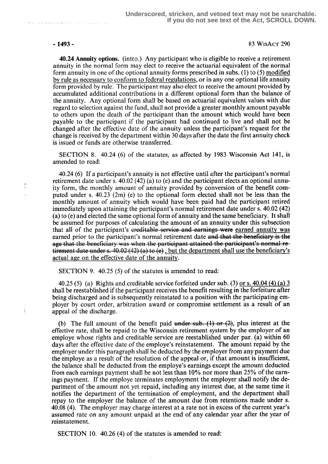Ē  $\bar{\psi}$ 

## -1493 - 83 WisAct 290

40.24 Annuity options. (intro .) Any participant who is eligible to receive a retirement annuity in the normal form may elect to receive the actuarial equivalent of the normal form annuity in one of the optional annuity forms prescribed in subs. (1) to (5) modified by rule as necessary to conform to federal regulations, or in any one optional life annuity form provided by rule. The participant may also elect to receive the amount provided by accumulated additional contributions in a different optional form than the balance of the annuity. Any optional form shall be based on actuarial equivalent values with due regard to selection against the fund, shall not provide a greater monthly amount payable to others upon the death of the participant than the amount which would have been payable to the participant if the participant had continued to live and shall not be changed after the effective date of the annuity unless the participant's request for the change is received by the department within 30 days after the date the first annuity check is issued or funds are otherwise transferred.

SECTION 8. 40.24 (6) of the statutes, as affected by 1983 Wisconsin Act 141, is amended to read:

40.24 (6) If a participant's annuity is not effective until after the participant's normal retirement date under s. 40.02 (42) (a) to (e) and the participant elects an optional annuity form, the monthly amount of annuity provided by conversion of the benefit computed under s. 40.23 (2m) (e) to the optional form elected shall not be less than the monthly amount of annuity which would have been paid had the participant retired immediately upon attaining the participant's normal retirement date under s. 40.02 (42) (a) to (e) and elected the same optional form of annuity and the same beneficiary. It shall be assumed for purposes of calculating the amount of an annuity under this subsection that all of the participant's ereditable service and earnings were earned annuity was earned prior to the participant's normal retirement date and that the beneficiary is the age that the beneficiary was when the participant attained the participant's normal retirement date under s.  $40.02$  (42) (a) to (e), but the department shall use the beneficiary's actual age on the effective date of the annuity.

SECTION 9. 40.25 (5) of the statutes is amended to read:

40.25 (5) (a) Rights and creditable service forfeited under sub. (3) or s.  $40.04$  (4) (a) 3 shall be reestablished if the participant receives the benefit resulting in the forfeiture after being discharged and is subsequently reinstated to a position with the participating employer by court order, arbitration award or compromise settlement as a result of an appeal of the discharge.

(b) The full amount of the benefit paid under sub.  $(1)$  or  $(2)$ , plus interest at the effective rate, shall be repaid to the Wisconsin retirement system by the employer of an employe whose rights and creditable service are reestablished under par. (a) within 60 days after the effective date of the employe's reinstatement. The amount repaid by the employer under this paragraph shall be deducted by the employer from any payment due the employe as a result of the resolution of the appeal or, if that amount is insufficient, the balance shall be deducted from the employe's earnings except the amount deducted from each earnings payment shall be not less than 10% nor more than 25% of the earnings payment. If the employe terminates employment the employer shall notify the department of the amount not yet repaid, including any interest due, at the same time it notifies the department of the termination of employment, and the department shall repay to the employer the balance of the amount due from retentions made under s. 40.08 (4). The employer may charge interest at a rate not in excess of the current year's assumed rate on any amount unpaid at the end of any calendar year after the year of reinstatement.

SECTION 10. 40.26 (4) of the statutes is amended to read: